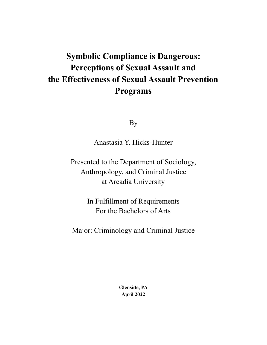## **Symbolic Compliance is Dangerous: Perceptions of Sexual Assault and the Effectiveness of Sexual Assault Prevention Programs**

By

Anastasia Y. Hicks-Hunter

Presented to the Department of Sociology, Anthropology, and Criminal Justice at Arcadia University

> In Fulfillment of Requirements For the Bachelors of Arts

Major: Criminology and Criminal Justice

**Glenside, PA April 2022**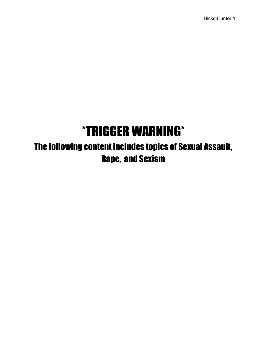# \*TRIGGER WARNING\*

The following content includes topics of Sexual Assault, Rape, and Sexism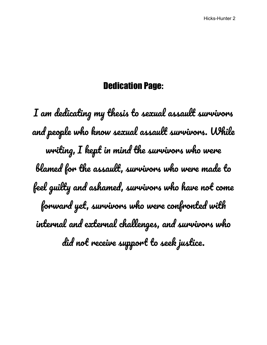### Dedication Page:

I am dedicating my thesis to sexual assault survivors and people who know sexual assault survivors. While writing, I kept in mind the survivors who were blamed for the assault, survivors who were made to feel guilty and ashamed, survivors who have not come forward yet, survivors who were confronted with internal and external challenges, and survivors who did not receive support to seek justice.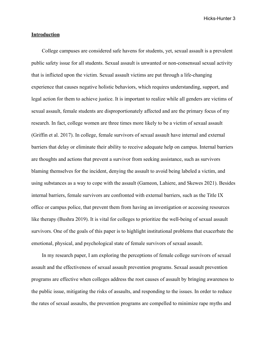#### **Introduction**

College campuses are considered safe havens for students, yet, sexual assault is a prevalent public safety issue for all students. Sexual assault is unwanted or non-consensual sexual activity that is inflicted upon the victim. Sexual assault victims are put through a life-changing experience that causes negative holistic behaviors, which requires understanding, support, and legal action for them to achieve justice. It is important to realize while all genders are victims of sexual assault, female students are disproportionately affected and are the primary focus of my research. In fact, college women are three times more likely to be a victim of sexual assault (Griffin et al. 2017). In college, female survivors of sexual assault have internal and external barriers that delay or eliminate their ability to receive adequate help on campus. Internal barriers are thoughts and actions that prevent a survivor from seeking assistance, such as survivors blaming themselves for the incident, denying the assault to avoid being labeled a victim, and using substances as a way to cope with the assault (Gameon, Lahiere, and Skewes 2021). Besides internal barriers, female survivors are confronted with external barriers, such as the Title IX office or campus police, that prevent them from having an investigation or accessing resources like therapy (Bushra 2019). It is vital for colleges to prioritize the well-being of sexual assault survivors. One of the goals of this paper is to highlight institutional problems that exacerbate the emotional, physical, and psychological state of female survivors of sexual assault.

In my research paper, I am exploring the perceptions of female college survivors of sexual assault and the effectiveness of sexual assault prevention programs. Sexual assault prevention programs are effective when colleges address the root causes of assault by bringing awareness to the public issue, mitigating the risks of assaults, and responding to the issues. In order to reduce the rates of sexual assaults, the prevention programs are compelled to minimize rape myths and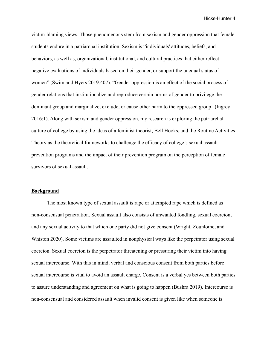victim-blaming views. Those phenomenons stem from sexism and gender oppression that female students endure in a patriarchal institution. Sexism is "individuals' attitudes, beliefs, and behaviors, as well as, organizational, institutional, and cultural practices that either reflect negative evaluations of individuals based on their gender, or support the unequal status of women" (Swim and Hyers 2019:407). "Gender oppression is an effect of the social process of gender relations that institutionalize and reproduce certain norms of gender to privilege the dominant group and marginalize, exclude, or cause other harm to the oppressed group" (Ingrey 2016:1). Along with sexism and gender oppression, my research is exploring the patriarchal culture of college by using the ideas of a feminist theorist, Bell Hooks, and the Routine Activities Theory as the theoretical frameworks to challenge the efficacy of college's sexual assault prevention programs and the impact of their prevention program on the perception of female survivors of sexual assault.

#### **Background**

The most known type of sexual assault is rape or attempted rape which is defined as non-consensual penetration. Sexual assault also consists of unwanted fondling, sexual coercion, and any sexual activity to that which one party did not give consent (Wright, Zounlome, and Whiston 2020). Some victims are assaulted in nonphysical ways like the perpetrator using sexual coercion. Sexual coercion is the perpetrator threatening or pressuring their victim into having sexual intercourse. With this in mind, verbal and conscious consent from both parties before sexual intercourse is vital to avoid an assault charge. Consent is a verbal yes between both parties to assure understanding and agreement on what is going to happen (Bushra 2019). Intercourse is non-consensual and considered assault when invalid consent is given like when someone is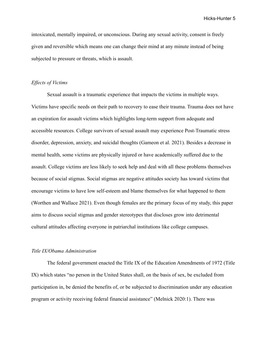intoxicated, mentally impaired, or unconscious. During any sexual activity, consent is freely given and reversible which means one can change their mind at any minute instead of being subjected to pressure or threats, which is assault.

#### *Effects of Victims*

Sexual assault is a traumatic experience that impacts the victims in multiple ways. Victims have specific needs on their path to recovery to ease their trauma. Trauma does not have an expiration for assault victims which highlights long-term support from adequate and accessible resources. College survivors of sexual assault may experience Post-Traumatic stress disorder, depression, anxiety, and suicidal thoughts (Gameon et al. 2021). Besides a decrease in mental health, some victims are physically injured or have academically suffered due to the assault. College victims are less likely to seek help and deal with all these problems themselves because of social stigmas. Social stigmas are negative attitudes society has toward victims that encourage victims to have low self-esteem and blame themselves for what happened to them (Worthen and Wallace 2021). Even though females are the primary focus of my study, this paper aims to discuss social stigmas and gender stereotypes that discloses grow into detrimental cultural attitudes affecting everyone in patriarchal institutions like college campuses.

#### *Title IX/Obama Administration*

The federal government enacted the Title IX of the Education Amendments of 1972 (Title IX) which states "no person in the United States shall, on the basis of sex, be excluded from participation in, be denied the benefits of, or be subjected to discrimination under any education program or activity receiving federal financial assistance" (Melnick 2020:1). There was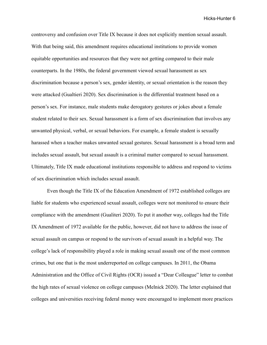controversy and confusion over Title IX because it does not explicitly mention sexual assault. With that being said, this amendment requires educational institutions to provide women equitable opportunities and resources that they were not getting compared to their male counterparts. In the 1980s, the federal government viewed sexual harassment as sex discrimination because a person's sex, gender identity, or sexual orientation is the reason they were attacked (Gualtieri 2020). Sex discrimination is the differential treatment based on a person's sex. For instance, male students make derogatory gestures or jokes about a female student related to their sex. Sexual harassment is a form of sex discrimination that involves any unwanted physical, verbal, or sexual behaviors. For example, a female student is sexually harassed when a teacher makes unwanted sexual gestures. Sexual harassment is a broad term and includes sexual assault, but sexual assault is a criminal matter compared to sexual harassment. Ultimately, Title IX made educational institutions responsible to address and respond to victims of sex discrimination which includes sexual assault.

Even though the Title IX of the Education Amendment of 1972 established colleges are liable for students who experienced sexual assault, colleges were not monitored to ensure their compliance with the amendment (Gualiteri 2020). To put it another way, colleges had the Title IX Amendment of 1972 available for the public, however, did not have to address the issue of sexual assault on campus or respond to the survivors of sexual assault in a helpful way. The college's lack of responsibility played a role in making sexual assault one of the most common crimes, but one that is the most underreported on college campuses. In 2011, the Obama Administration and the Office of Civil Rights (OCR) issued a "Dear Colleague" letter to combat the high rates of sexual violence on college campuses (Melnick 2020). The letter explained that colleges and universities receiving federal money were encouraged to implement more practices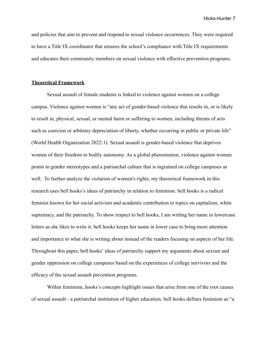and policies that aim to prevent and respond to sexual violence occurrences. They were required to have a Title IX coordinator that ensures the school's compliance with Title IX requirements and educates their community members on sexual violence with effective prevention programs.

#### **Theoretical Framework**

Sexual assault of female students is linked to violence against women on a college campus. Violence against women is "any act of gender-based violence that results in, or is likely to result in, physical, sexual, or mental harm or suffering to women, including threats of acts such as coercion or arbitrary depreciation of liberty, whether occurring in public or private life" (World Health Organization 2022:1). Sexual assault is gender-based violence that deprives women of their freedom to bodily autonomy. As a global phenomenon, violence against women points to gender stereotypes and a patriarchal culture that is ingrained on college campuses as well. To further analyze the violation of women's rights, my theoretical framework in this research uses bell hooks's ideas of patriarchy in relation to feminism. bell hooks is a radical feminist known for her social activism and academic contribution to topics on capitalism, white supremacy, and the patriarchy. To show respect to bell hooks, I am writing her name in lowercase letters as she likes to write it. bell hooks keeps her name in lower case to bring more attention and importance to what she is writing about instead of the readers focusing on aspects of her life. Throughout this paper, bell hooks' ideas of patriarchy support my arguments about sexism and gender oppression on college campuses based on the experiences of college survivors and the efficacy of the sexual assault prevention programs.

Within feminism, hooks's concepts highlight issues that arise from one of the root causes of sexual assault - a patriarchal institution of higher education. bell hooks defines feminism as "a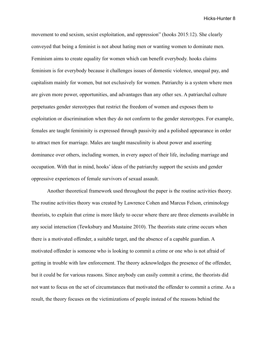movement to end sexism, sexist exploitation, and oppression" (hooks 2015:12). She clearly conveyed that being a feminist is not about hating men or wanting women to dominate men. Feminism aims to create equality for women which can benefit everybody. hooks claims feminism is for everybody because it challenges issues of domestic violence, unequal pay, and capitalism mainly for women, but not exclusively for women. Patriarchy is a system where men are given more power, opportunities, and advantages than any other sex. A patriarchal culture perpetuates gender stereotypes that restrict the freedom of women and exposes them to exploitation or discrimination when they do not conform to the gender stereotypes. For example, females are taught femininity is expressed through passivity and a polished appearance in order to attract men for marriage. Males are taught masculinity is about power and asserting dominance over others, including women, in every aspect of their life, including marriage and occupation. With that in mind, hooks' ideas of the patriarchy support the sexists and gender oppressive experiences of female survivors of sexual assault.

Another theoretical framework used throughout the paper is the routine activities theory. The routine activities theory was created by Lawrence Cohen and Marcus Felson, criminology theorists, to explain that crime is more likely to occur where there are three elements available in any social interaction (Tewksbury and Mustaine 2010). The theorists state crime occurs when there is a motivated offender, a suitable target, and the absence of a capable guardian. A motivated offender is someone who is looking to commit a crime or one who is not afraid of getting in trouble with law enforcement. The theory acknowledges the presence of the offender, but it could be for various reasons. Since anybody can easily commit a crime, the theorists did not want to focus on the set of circumstances that motivated the offender to commit a crime. As a result, the theory focuses on the victimizations of people instead of the reasons behind the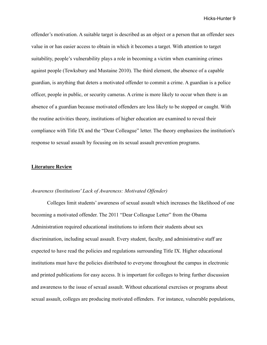offender's motivation. A suitable target is described as an object or a person that an offender sees value in or has easier access to obtain in which it becomes a target. With attention to target suitability, people's vulnerability plays a role in becoming a victim when examining crimes against people (Tewksbury and Mustaine 2010). The third element, the absence of a capable guardian, is anything that deters a motivated offender to commit a crime. A guardian is a police officer, people in public, or security cameras. A crime is more likely to occur when there is an absence of a guardian because motivated offenders are less likely to be stopped or caught. With the routine activities theory, institutions of higher education are examined to reveal their compliance with Title IX and the "Dear Colleague" letter. The theory emphasizes the institution's response to sexual assault by focusing on its sexual assault prevention programs.

#### **Literature Review**

#### *Awareness (Institutions' Lack of Awareness: Motivated Offender)*

Colleges limit students' awareness of sexual assault which increases the likelihood of one becoming a motivated offender. The 2011 "Dear Colleague Letter" from the Obama Administration required educational institutions to inform their students about sex discrimination, including sexual assault. Every student, faculty, and administrative staff are expected to have read the policies and regulations surrounding Title IX. Higher educational institutions must have the policies distributed to everyone throughout the campus in electronic and printed publications for easy access. It is important for colleges to bring further discussion and awareness to the issue of sexual assault. Without educational exercises or programs about sexual assault, colleges are producing motivated offenders. For instance, vulnerable populations,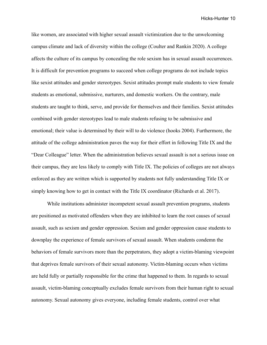like women, are associated with higher sexual assault victimization due to the unwelcoming campus climate and lack of diversity within the college (Coulter and Rankin 2020). A college affects the culture of its campus by concealing the role sexism has in sexual assault occurrences. It is difficult for prevention programs to succeed when college programs do not include topics like sexist attitudes and gender stereotypes. Sexist attitudes prompt male students to view female students as emotional, submissive, nurturers, and domestic workers. On the contrary, male students are taught to think, serve, and provide for themselves and their families. Sexist attitudes combined with gender stereotypes lead to male students refusing to be submissive and emotional; their value is determined by their will to do violence (hooks 2004). Furthermore, the attitude of the college administration paves the way for their effort in following Title IX and the "Dear Colleague" letter. When the administration believes sexual assault is not a serious issue on their campus, they are less likely to comply with Title IX. The policies of colleges are not always enforced as they are written which is supported by students not fully understanding Title IX or simply knowing how to get in contact with the Title IX coordinator (Richards et al. 2017).

While institutions administer incompetent sexual assault prevention programs, students are positioned as motivated offenders when they are inhibited to learn the root causes of sexual assault, such as sexism and gender oppression. Sexism and gender oppression cause students to downplay the experience of female survivors of sexual assault. When students condemn the behaviors of female survivors more than the perpetrators, they adopt a victim-blaming viewpoint that deprives female survivors of their sexual autonomy. Victim-blaming occurs when victims are held fully or partially responsible for the crime that happened to them. In regards to sexual assault, victim-blaming conceptually excludes female survivors from their human right to sexual autonomy. Sexual autonomy gives everyone, including female students, control over what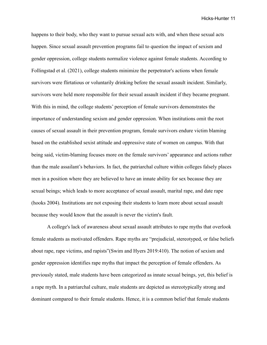happens to their body, who they want to pursue sexual acts with, and when these sexual acts happen. Since sexual assault prevention programs fail to question the impact of sexism and gender oppression, college students normalize violence against female students. According to Follingstad et al. (2021), college students minimize the perpetrator's actions when female survivors were flirtatious or voluntarily drinking before the sexual assault incident. Similarly, survivors were held more responsible for their sexual assault incident if they became pregnant. With this in mind, the college students' perception of female survivors demonstrates the importance of understanding sexism and gender oppression. When institutions omit the root causes of sexual assault in their prevention program, female survivors endure victim blaming based on the established sexist attitude and oppressive state of women on campus. With that being said, victim-blaming focuses more on the female survivors' appearance and actions rather than the male assailant's behaviors. In fact, the patriarchal culture within colleges falsely places men in a position where they are believed to have an innate ability for sex because they are sexual beings; which leads to more acceptance of sexual assault, marital rape, and date rape (hooks 2004). Institutions are not exposing their students to learn more about sexual assault because they would know that the assault is never the victim's fault.

A college's lack of awareness about sexual assault attributes to rape myths that overlook female students as motivated offenders. Rape myths are "prejudicial, stereotyped, or false beliefs about rape, rape victims, and rapists"(Swim and Hyers 2019:410). The notion of sexism and gender oppression identifies rape myths that impact the perception of female offenders. As previously stated, male students have been categorized as innate sexual beings, yet, this belief is a rape myth. In a patriarchal culture, male students are depicted as stereotypically strong and dominant compared to their female students. Hence, it is a common belief that female students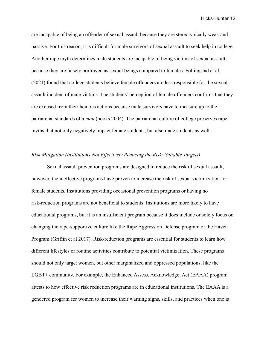are incapable of being an offender of sexual assault because they are stereotypically weak and passive. For this reason, it is difficult for male survivors of sexual assault to seek help in college. Another rape myth determines male students are incapable of being victims of sexual assault because they are falsely portrayed as sexual beings compared to females. Follingstad et al. (2021) found that college students believe female offenders are less responsible for the sexual assault incident of male victims. The students' perception of female offenders confirms that they are excused from their heinous actions because male survivors have to measure up to the patriarchal standards of a *man* (hooks 2004). The patriarchal culture of college preserves rape myths that not only negatively impact female students, but also male students as well.

#### *Risk Mitigation (Institutions Not Effectively Reducing the Risk: Suitable Targets)*

Sexual assault prevention programs are designed to reduce the risk of sexual assault, however, the ineffective programs have proven to increase the risk of sexual victimization for female students. Institutions providing occasional prevention programs or having no risk-reduction programs are not beneficial to students. Institutions are more likely to have educational programs, but it is an insufficient program because it does include or solely focus on changing the rape-supportive culture like the Rape Aggression Defense program or the Haven Program (Griffin et al 2017). Risk-reduction programs are essential for students to learn how different lifestyles or routine activities contribute to potential victimization. These programs should not only target women, but other marginalized and oppressed populations, like the LGBT+ community. For example, the Enhanced Assess, Acknowledge, Act (EAAA) program attests to how effective risk reduction programs are in educational institutions. The EAAA is a gendered program for women to increase their warning signs, skills, and practices when one is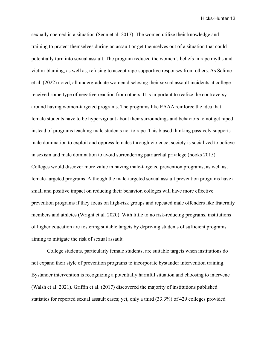sexually coerced in a situation (Senn et al. 2017). The women utilize their knowledge and training to protect themselves during an assault or get themselves out of a situation that could potentially turn into sexual assault. The program reduced the women's beliefs in rape myths and victim-blaming, as well as, refusing to accept rape-supportive responses from others. As Selime et al. (2022) noted, all undergraduate women disclosing their sexual assault incidents at college received some type of negative reaction from others. It is important to realize the controversy around having women-targeted programs. The programs like EAAA reinforce the idea that female students have to be hypervigilant about their surroundings and behaviors to not get raped instead of programs teaching male students not to rape. This biased thinking passively supports male domination to exploit and oppress females through violence; society is socialized to believe in sexism and male domination to avoid surrendering patriarchal privilege (hooks 2015). Colleges would discover more value in having male-targeted prevention programs, as well as, female-targeted programs. Although the male-targeted sexual assault prevention programs have a small and positive impact on reducing their behavior, colleges will have more effective prevention programs if they focus on high-risk groups and repeated male offenders like fraternity members and athletes (Wright et al. 2020). With little to no risk-reducing programs, institutions of higher education are fostering suitable targets by depriving students of sufficient programs aiming to mitigate the risk of sexual assault.

College students, particularly female students, are suitable targets when institutions do not expand their style of prevention programs to incorporate bystander intervention training. Bystander intervention is recognizing a potentially harmful situation and choosing to intervene (Walsh et al. 2021). Griffin et al. (2017) discovered the majority of institutions published statistics for reported sexual assault cases; yet, only a third (33.3%) of 429 colleges provided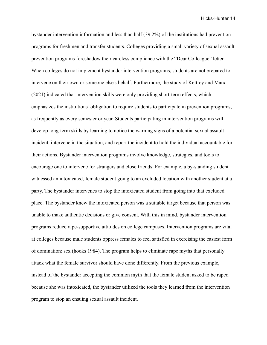bystander intervention information and less than half (39.2%) of the institutions had prevention programs for freshmen and transfer students. Colleges providing a small variety of sexual assault prevention programs foreshadow their careless compliance with the "Dear Colleague" letter. When colleges do not implement bystander intervention programs, students are not prepared to intervene on their own or someone else's behalf. Furthermore, the study of Kettrey and Marx (2021) indicated that intervention skills were only providing short-term effects, which emphasizes the institutions' obligation to require students to participate in prevention programs, as frequently as every semester or year. Students participating in intervention programs will develop long-term skills by learning to notice the warning signs of a potential sexual assault incident, intervene in the situation, and report the incident to hold the individual accountable for their actions. Bystander intervention programs involve knowledge, strategies, and tools to encourage one to intervene for strangers and close friends. For example, a by-standing student witnessed an intoxicated, female student going to an excluded location with another student at a party. The bystander intervenes to stop the intoxicated student from going into that excluded place. The bystander knew the intoxicated person was a suitable target because that person was unable to make authentic decisions or give consent. With this in mind, bystander intervention programs reduce rape-supportive attitudes on college campuses. Intervention programs are vital at colleges because male students oppress females to feel satisfied in exercising the easiest form of domination: sex (hooks 1984). The program helps to eliminate rape myths that personally attack what the female survivor should have done differently. From the previous example, instead of the bystander accepting the common myth that the female student asked to be raped because she was intoxicated, the bystander utilized the tools they learned from the intervention program to stop an ensuing sexual assault incident.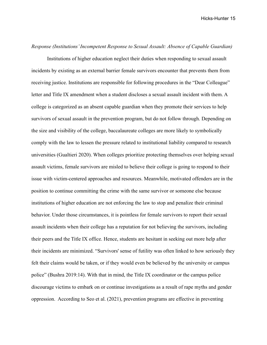#### *Response (Institutions' Incompetent Response to Sexual Assault: Absence of Capable Guardian)*

Institutions of higher education neglect their duties when responding to sexual assault incidents by existing as an external barrier female survivors encounter that prevents them from receiving justice. Institutions are responsible for following procedures in the "Dear Colleague" letter and Title IX amendment when a student discloses a sexual assault incident with them. A college is categorized as an absent capable guardian when they promote their services to help survivors of sexual assault in the prevention program, but do not follow through. Depending on the size and visibility of the college, baccalaureate colleges are more likely to symbolically comply with the law to lessen the pressure related to institutional liability compared to research universities (Gualtieri 2020). When colleges prioritize protecting themselves over helping sexual assault victims, female survivors are misled to believe their college is going to respond to their issue with victim-centered approaches and resources. Meanwhile, motivated offenders are in the position to continue committing the crime with the same survivor or someone else because institutions of higher education are not enforcing the law to stop and penalize their criminal behavior. Under those circumstances, it is pointless for female survivors to report their sexual assault incidents when their college has a reputation for not believing the survivors, including their peers and the Title IX office. Hence, students are hesitant in seeking out more help after their incidents are minimized. "Survivors' sense of futility was often linked to how seriously they felt their claims would be taken, or if they would even be believed by the university or campus police" (Bushra 2019:14). With that in mind, the Title IX coordinator or the campus police discourage victims to embark on or continue investigations as a result of rape myths and gender oppression. According to Seo et al. (2021), prevention programs are effective in preventing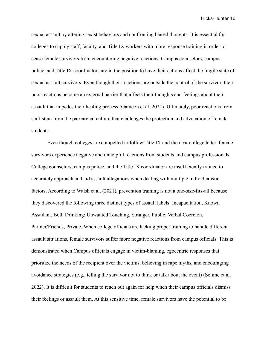sexual assault by altering sexist behaviors and confronting biased thoughts. It is essential for colleges to supply staff, faculty, and Title IX workers with more response training in order to cease female survivors from encountering negative reactions. Campus counselors, campus police, and Title IX coordinators are in the position to have their actions affect the fragile state of sexual assault survivors. Even though their reactions are outside the control of the survivor, their poor reactions become an external barrier that affects their thoughts and feelings about their assault that impedes their healing process (Gameon et al. 2021). Ultimately, poor reactions from staff stem from the patriarchal culture that challenges the protection and advocation of female students.

Even though colleges are compelled to follow Title IX and the dear college letter, female survivors experience negative and unhelpful reactions from students and campus professionals. College counselors, campus police, and the Title IX coordinator are insufficiently trained to accurately approach and aid assault allegations when dealing with multiple individualistic factors. According to Walsh et al. (2021), prevention training is not a one-size-fits-all because they discovered the following three distinct types of assault labels: Incapacitation, Known Assailant, Both Drinking; Unwanted Touching, Stranger, Public; Verbal Coercion, Partner/Friends, Private. When college officials are lacking proper training to handle different assault situations, female survivors suffer more negative reactions from campus officials. This is demonstrated when Campus officials engage in victim-blaming, egocentric responses that prioritize the needs of the recipient over the victims, believing in rape myths, and encouraging avoidance strategies (e.g., telling the survivor not to think or talk about the event) (Selime et al. 2022). It is difficult for students to reach out again for help when their campus officials dismiss their feelings or assault them. At this sensitive time, female survivors have the potential to be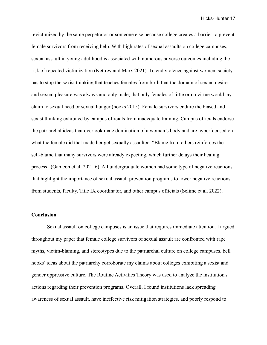revictimized by the same perpetrator or someone else because college creates a barrier to prevent female survivors from receiving help. With high rates of sexual assaults on college campuses, sexual assault in young adulthood is associated with numerous adverse outcomes including the risk of repeated victimization (Kettrey and Marx 2021). To end violence against women, society has to stop the sexist thinking that teaches females from birth that the domain of sexual desire and sexual pleasure was always and only male; that only females of little or no virtue would lay claim to sexual need or sexual hunger (hooks 2015). Female survivors endure the biased and sexist thinking exhibited by campus officials from inadequate training. Campus officials endorse the patriarchal ideas that overlook male domination of a woman's body and are hyperfocused on what the female did that made her get sexually assaulted. "Blame from others reinforces the self-blame that many survivors were already expecting, which further delays their healing process" (Gameon et al. 2021:6). All undergraduate women had some type of negative reactions that highlight the importance of sexual assault prevention programs to lower negative reactions from students, faculty, Title IX coordinator, and other campus officials (Selime et al. 2022).

#### **Conclusion**

Sexual assault on college campuses is an issue that requires immediate attention. I argued throughout my paper that female college survivors of sexual assault are confronted with rape myths, victim-blaming, and stereotypes due to the patriarchal culture on college campuses. bell hooks' ideas about the patriarchy corroborate my claims about colleges exhibiting a sexist and gender oppressive culture. The Routine Activities Theory was used to analyze the institution's actions regarding their prevention programs. Overall, I found institutions lack spreading awareness of sexual assault, have ineffective risk mitigation strategies, and poorly respond to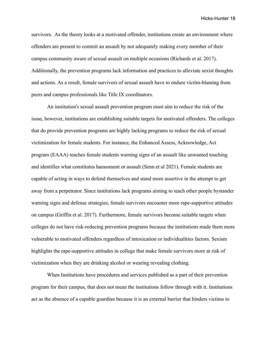survivors. As the theory looks at a motivated offender, institutions create an environment where offenders are present to commit an assault by not adequately making every member of their campus community aware of sexual assault on multiple occasions (Richards et al. 2017). Additionally, the prevention programs lack information and practices to alleviate sexist thoughts and actions. As a result, female survivors of sexual assault have to endure victim-blaming from peers and campus professionals like Title IX coordinators.

An institution's sexual assault prevention program must aim to reduce the risk of the issue, however, institutions are establishing suitable targets for motivated offenders. The colleges that do provide prevention programs are highly lacking programs to reduce the risk of sexual victimization for female students. For instance, the Enhanced Assess, Acknowledge, Act program (EAAA) teaches female students warning signs of an assault like unwanted touching and identifies what constitutes harassment or assault (Senn et al 2021). Female students are capable of acting in ways to defend themselves and stand more assertive in the attempt to get away from a perpetrator. Since institutions lack programs aiming to teach other people bystander warning signs and defense strategies, female survivors encounter more rape-supportive attitudes on campus (Griffin et al. 2017). Furthermore, female survivors become suitable targets when colleges do not have risk-reducing prevention programs because the institutions made them more vulnerable to motivated offenders regardless of intoxication or individualities factors. Sexism highlights the rape-supportive attitudes in college that make female survivors more at risk of victimization when they are drinking alcohol or wearing revealing clothing.

When Institutions have procedures and services published as a part of their prevention program for their campus, that does not mean the institutions follow through with it. Institutions act as the absence of a capable guardian because it is an external barrier that hinders victims to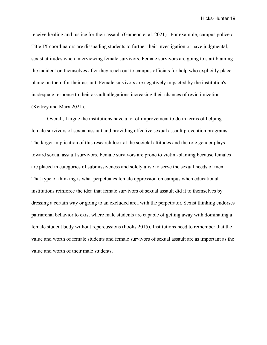receive healing and justice for their assault (Gameon et al. 2021). For example, campus police or Title IX coordinators are dissuading students to further their investigation or have judgmental, sexist attitudes when interviewing female survivors. Female survivors are going to start blaming the incident on themselves after they reach out to campus officials for help who explicitly place blame on them for their assault. Female survivors are negatively impacted by the institution's inadequate response to their assault allegations increasing their chances of revictimization (Kettrey and Marx 2021).

Overall, I argue the institutions have a lot of improvement to do in terms of helping female survivors of sexual assault and providing effective sexual assault prevention programs. The larger implication of this research look at the societal attitudes and the role gender plays toward sexual assault survivors. Female survivors are prone to victim-blaming because females are placed in categories of submissiveness and solely alive to serve the sexual needs of men. That type of thinking is what perpetuates female oppression on campus when educational institutions reinforce the idea that female survivors of sexual assault did it to themselves by dressing a certain way or going to an excluded area with the perpetrator. Sexist thinking endorses patriarchal behavior to exist where male students are capable of getting away with dominating a female student body without repercussions (hooks 2015). Institutions need to remember that the value and worth of female students and female survivors of sexual assault are as important as the value and worth of their male students.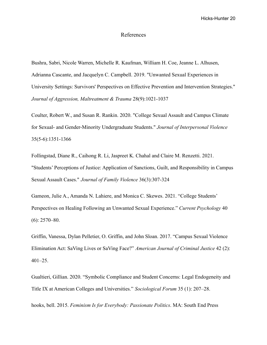#### References

Bushra, Sabri, Nicole Warren, Michelle R. Kaufman, William H. Coe, Jeanne L. Alhusen, Adrianna Cascante, and Jacquelyn C. Campbell. 2019. "Unwanted Sexual Experiences in University Settings: Survivors' Perspectives on Effective Prevention and Intervention Strategies." *Journal of Aggression, Maltreatment & Trauma* 28(9):1021-1037

Coulter, Robert W., and Susan R. Rankin. 2020. "College Sexual Assault and Campus Climate for Sexual- and Gender-Minority Undergraduate Students." *Journal of Interpersonal Violence* 35(5-6):1351-1366

Follingstad, Diane R., Caihong R. Li, Jaspreet K. Chahal and Claire M. Renzetti. 2021. "Students' Perceptions of Justice: Application of Sanctions, Guilt, and Responsibility in Campus Sexual Assault Cases." *Journal of Family Violence* 36(3):307-324

Gameon, Julie A., Amanda N. Lahiere, and Monica C. Skewes. 2021. "College Students' Perspectives on Healing Following an Unwanted Sexual Experience." *Current Psychology* 40 (6): 2570–80.

Griffin, Vanessa, Dylan Pelletier, O. Griffin, and John Sloan. 2017. "Campus Sexual Violence Elimination Act: SaVing Lives or SaVing Face?" *American Journal of Criminal Justice* 42 (2): 401–25.

Gualtieri, Gillian. 2020. "Symbolic Compliance and Student Concerns: Legal Endogeneity and Title IX at American Colleges and Universities." *Sociological Forum* 35 (1): 207–28.

hooks, bell. 2015. *Feminism Is for Everybody: Passionate Politics*. MA: South End Press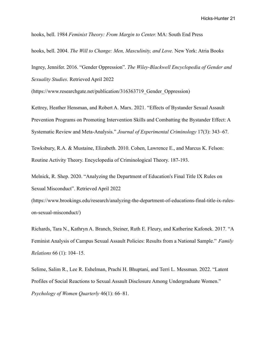hooks, bell. 1984 *Feminist Theory: From Margin to Center.* MA: South End Press

hooks, bell. 2004. *The Will to Change: Men, Masculinity, and Love.* New York: Atria Books

Ingrey, Jennifer. 2016. "Gender Oppression". *The Wiley-Blackwell Encyclopedia of Gender and Sexuality Studies*. Retrieved April 2022

(https://www.researchgate.net/publication/316363719\_Gender\_Oppression)

Kettrey, Heather Hensman, and Robert A. Marx. 2021. "Effects of Bystander Sexual Assault Prevention Programs on Promoting Intervention Skills and Combatting the Bystander Effect: A Systematic Review and Meta-Analysis." *Journal of Experimental Criminology* 17(3): 343–67.

Tewksbury, R.A. & Mustaine, Elizabeth. 2010. Cohen, Lawrence E., and Marcus K. Felson: Routine Activity Theory. Encyclopedia of Criminological Theory. 187-193.

Melnick, R. Shep. 2020. "Analyzing the Department of Education's Final Title IX Rules on Sexual Misconduct". Retrieved April 2022

(https://www.brookings.edu/research/analyzing-the-department-of-educations-final-title-ix-ruleson-sexual-misconduct/)

Richards, Tara N., Kathryn A. Branch, Steiner, Ruth E. Fleury, and Katherine Kafonek. 2017. "A Feminist Analysis of Campus Sexual Assault Policies: Results from a National Sample." *Family Relations* 66 (1): 104–15.

Selime, Salim R., Lee R. Eshelman, Prachi H. Bhuptani, and Terri L. Messman. 2022. "Latent Profiles of Social Reactions to Sexual Assault Disclosure Among Undergraduate Women." *Psychology of Women Quarterly* 46(1): 66–81.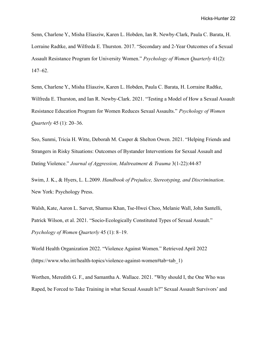Senn, Charlene Y., Misha Eliasziw, Karen L. Hobden, Ian R. Newby-Clark, Paula C. Barata, H. Lorraine Radtke, and Wilfreda E. Thurston. 2017. "Secondary and 2-Year Outcomes of a Sexual Assault Resistance Program for University Women." *Psychology of Women Quarterly* 41(2): 147–62.

Senn, Charlene Y., Misha Eliasziw, Karen L. Hobden, Paula C. Barata, H. Lorraine Radtke, Wilfreda E. Thurston, and Ian R. Newby-Clark. 2021. "Testing a Model of How a Sexual Assault Resistance Education Program for Women Reduces Sexual Assaults." *Psychology of Women Quarterly* 45 (1): 20–36.

Seo, Sunmi, Tricia H. Witte, Deborah M. Casper & Shelton Owen. 2021. "Helping Friends and Strangers in Risky Situations: Outcomes of Bystander Interventions for Sexual Assault and Dating Violence." *Journal of Aggression, Maltreatment & Trauma* 3(1-22):44-87

Swim, J. K., & Hyers, L. L.2009. *Handbook of Prejudice, Stereotyping, and Discrimination*. New York: Psychology Press.

Walsh, Kate, Aaron L. Sarvet, Shamus Khan, Tse-Hwei Choo, Melanie Wall, John Santelli, Patrick Wilson, et al. 2021. "Socio-Ecologically Constituted Types of Sexual Assault." *Psychology of Women Quarterly* 45 (1): 8–19.

World Health Organization 2022. "Violence Against Women." Retrieved April 2022 (https://www.who.int/health-topics/violence-against-women#tab=tab\_1)

Worthen, Meredith G. F., and Samantha A. Wallace. 2021. "Why should I, the One Who was Raped, be Forced to Take Training in what Sexual Assault Is?" Sexual Assault Survivors' and